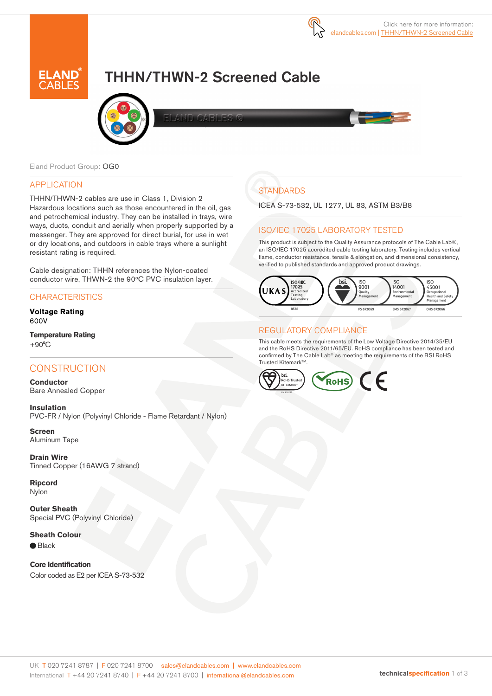

# THHN/THWN-2 Screened Cable



**ND OAFINES** 

Eland Product Group: OG0

### APPLICATION

THHN/THWN-2 cables are use in Class 1, Division 2 Hazardous locations such as those encountered in the oil, gas and petrochemical industry. They can be installed in trays, wire ways, ducts, conduit and aerially when properly supported by a messenger. They are approved for direct burial, for use in wet or dry locations, and outdoors in cable trays where a sunlight resistant rating is required.

Cable designation: THHN references the Nylon-coated conductor wire, THWN-2 the 90°C PVC insulation layer.

## **CHARACTERISTICS**

**Voltage Rating** 600V

#### **Temperature Rating** +90°C

## **CONSTRUCTION**

**Conductor** Bare Annealed Copper

**Insulation** PVC-FR / Nylon (Polyvinyl Chloride - Flame Retardant / Nylon)

**Screen** Aluminum Tape

**Drain Wire** Tinned Copper (16AWG 7 strand)

**Ripcord** Nylon

**Outer Sheath** Special PVC (Polyvinyl Chloride)

**Sheath Colour** ● Black

**Core Identification** Color coded as E2 per ICEA S-73-532

## **STANDARDS**

ICEA S-73-532, UL 1277, UL 83, ASTM B3/B8

## ISO/IEC 17025 LABORATORY TESTED

This product is subject to the Quality Assurance protocols of The Cable Lab®, an ISO/IEC 17025 accredited cable testing laboratory. Testing includes vertical flame, conductor resistance, tensile & elongation, and dimensional consistency, verified to published standards and approved product drawings.



## REGULATORY COMPLIANCE

This cable meets the requirements of the Low Voltage Directive 2014/35/EU and the RoHS Directive 2011/65/EU. RoHS compliance has been tested and confirmed by The Cable Lab® as meeting the requirements of the BSI RoHS Trusted Kitemark™.

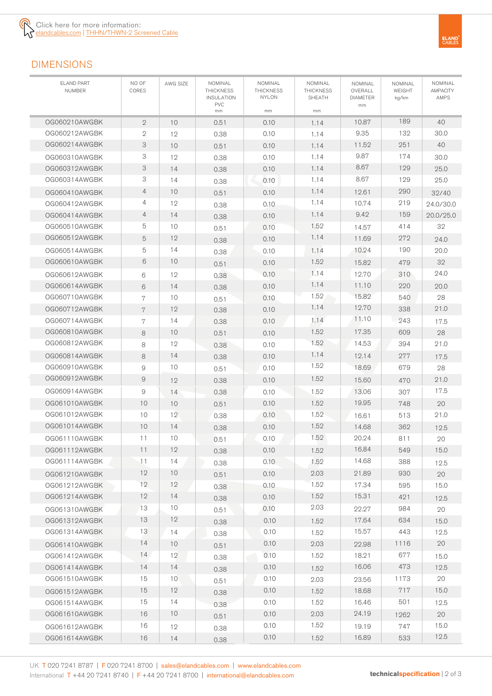# DIMENSIONS

| <b>ELAND PART</b><br>NUMBER | NO OF<br>CORES | AWG SIZE        | NOMINAL<br><b>THICKNESS</b><br><b>INSULATION</b> | NOMINAL<br><b>THICKNESS</b><br><b>NYLON</b> | NOMINAL<br><b>THICKNESS</b><br>SHEATH | NOMINAL<br>OVERALL<br><b>DIAMETER</b> | NOMINAL<br>WEIGHT<br>kg/km | NOMINAL<br>AMPACITY<br>AMPS |
|-----------------------------|----------------|-----------------|--------------------------------------------------|---------------------------------------------|---------------------------------------|---------------------------------------|----------------------------|-----------------------------|
|                             |                |                 | <b>PVC</b><br>mm                                 | mm                                          | mm                                    | mm                                    |                            |                             |
| OG060210AWGBK               | $\overline{2}$ | 10              | 0.51                                             | 0.10                                        | 1.14                                  | 10.87                                 | 189                        | 40                          |
| 0G060212AWGBK               | $\mathbf{2}$   | 12              | 0.38                                             | 0.10                                        | 1.14                                  | 9.35                                  | 132                        | 30.0                        |
| 0G060214AWGBK               | 3              | 10              | 0.51                                             | 0.10                                        | 1.14                                  | 11.52                                 | 251                        | 40                          |
| 0G060310AWGBK               | 3              | 12              | 0.38                                             | 0.10                                        | 1.14                                  | 9.87                                  | 174                        | 30.0                        |
| 0G060312AWGBK               | 3              | 14              | 0.38                                             | 0.10                                        | 1.14                                  | 8.67                                  | 129                        | 25.0                        |
| OG060314AWGBK               | 3              | 14              | 0.38                                             | 0.10                                        | 1.14                                  | 8.67                                  | 129                        | 25.0                        |
| 0G060410AWGBK               | $\overline{4}$ | 10              | 0.51                                             | 0.10                                        | 1.14                                  | 12.61                                 | 290                        | 32/40                       |
| OG060412AWGBK               | 4              | 12              | 0.38                                             | 0.10                                        | 1.14                                  | 10.74                                 | 219                        | 24.0/30.0                   |
| 0G060414AWGBK               | $\overline{4}$ | 14              | 0.38                                             | 0.10                                        | 1.14                                  | 9.42                                  | 159                        | 20.0/25.0                   |
| 0G060510AWGBK               | 5              | 10              | 0.51                                             | 0.10                                        | 1.52                                  | 14.57                                 | 414                        | 32                          |
| 0G060512AWGBK               | 5              | 12              | 0.38                                             | 0.10                                        | 1.14                                  | 11.69                                 | 272                        | 24.0                        |
| OG060514AWGBK               | 5              | 14              | 0.38                                             | 0.10                                        | 1.14                                  | 10.24                                 | 190                        | 20.0                        |
| 0G060610AWGBK               | 6              | 10              | 0.51                                             | 0.10                                        | 1.52                                  | 15.82                                 | 479                        | 32                          |
| 0G060612AWGBK               | 6              | 12              | 0.38                                             | 0.10                                        | 1.14                                  | 12.70                                 | 310                        | 24.0                        |
| OG060614AWGBK               | 6              | 14              | 0.38                                             | 0.10                                        | 1.14                                  | 11.10                                 | 220                        | 20.0                        |
| 0G060710AWGBK               | 7              | 10              | 0.51                                             | 0.10                                        | 1.52                                  | 15.82                                 | 540                        | 28                          |
| 0G060712AWGBK               | 7              | 12              | 0.38                                             | 0.10                                        | 1.14                                  | 12.70                                 | 338                        | 21.0                        |
| 0G060714AWGBK               | 7              | 14              | 0.38                                             | 0.10                                        | 1.14                                  | 11.10                                 | 243                        | 17.5                        |
| 0G060810AWGBK               | 8              | 10              | 0.51                                             | 0.10                                        | 1.52                                  | 17.35                                 | 609                        | 28                          |
| 0G060812AWGBK               | 8              | 12              | 0.38                                             | 0.10                                        | 1.52                                  | 14.53                                 | 394                        | 21.0                        |
| OG060814AWGBK               | 8              | 14              | 0.38                                             | 0.10                                        | 1.14                                  | 12.14                                 | 277                        | 17.5                        |
| 0G060910AWGBK               | 9              | 10              | 0.51                                             | 0.10                                        | 1.52                                  | 18.69                                 | 679                        | 28                          |
| 0G060912AWGBK               | 9              | 12              | 0.38                                             | 0.10                                        | 1.52                                  | 15.60                                 | 470                        | 21.0                        |
| 0G060914AWGBK               | 9              | 14              | 0.38                                             | 0.10                                        | 1.52                                  | 13.06                                 | 307                        | 17.5                        |
| 0G061010AWGBK               | 10             | 10              | 0.51                                             | 0.10                                        | 1.52                                  | 19.95                                 | 748                        | 20                          |
| OG061012AWGBK               | 10             | 12              | 0.38                                             | 0.10                                        | 1.52                                  | 16.61                                 | 513                        | 21.0                        |
| 0G061014AWGBK               | 10             | 14              | 0.38                                             | 0.10                                        | 1.52                                  | 14.68                                 | 362                        | 12.5                        |
| 0G061110AWGBK               | 11             | 10              | 0.51                                             | 0.10                                        | 1.52                                  | 20.24                                 | 811                        | 20                          |
| OG061112AWGBK               | 11             | 12              | 0.38                                             | 0.10                                        | 1.52                                  | 16.84                                 | 549                        | 15.0                        |
| OG061114AWGBK               | 11.            | 14              | 0.38                                             | 0.10                                        | 1.52                                  | 14.68                                 | 388                        | 12.5                        |
| 0G061210AWGBK               | 12             | 10              | 0.51                                             | 0.10                                        | 2.03                                  | 21.89                                 | 930                        | 20                          |
| OG061212AWGBK               | 12             | 12              | 0.38                                             | 0.10                                        | 1.52                                  | 17.34                                 | 595                        | 15.0                        |
| OG061214AWGBK               | 12             | 14              | 0.38                                             | 0.10                                        | 1.52                                  | 15.31                                 | 421                        | 12.5                        |
| OG061310AWGBK               | 13             | 10              | 0.51                                             | 0.10                                        | 2.03                                  | 22.27                                 | 984                        | 20                          |
| 0G061312AWGBK               | 13             | 12              | 0.38                                             | 0.10                                        | 1.52                                  | 17.64                                 | 634                        | 15.0                        |
| OG061314AWGBK               | 13             | 14              | 0.38                                             | 0.10                                        | 1.52                                  | 15.57                                 | 443                        | 12.5                        |
| OG061410AWGBK               | 14             | 10 <sup>°</sup> | 0.51                                             | 0.10                                        | 2.03                                  | 22.98                                 | 1116                       | 20                          |
| OG061412AWGBK               | 14             | 12              | 0.38                                             | 0.10                                        | 1.52                                  | 18.21                                 | 677                        | 15.0                        |
| OG061414AWGBK               | 14             | 14              | 0.38                                             | 0.10                                        | 1.52                                  | 16.06                                 | 473                        | 12.5                        |
| OG061510AWGBK               | 15             | 10              | 0.51                                             | 0.10                                        | 2.03                                  | 23.56                                 | 1173                       | 20                          |
| OG061512AWGBK               | 15             | 12              | 0.38                                             | 0.10                                        | 1.52                                  | 18.68                                 | 717                        | 15.0                        |
| OG061514AWGBK               | 15             | 14              | 0.38                                             | 0.10                                        | 1.52                                  | 16.46                                 | 501                        | 12.5                        |
| OG061610AWGBK               | 16             | 10              | 0.51                                             | 0.10                                        | 2.03                                  | 24.19                                 | 1262                       | 20                          |
| 0G061612AWGBK               | 16             | 12              | 0.38                                             | 0.10                                        | 1.52                                  | 19.19                                 | 747                        | 15.0                        |
| OG061614AWGBK               | 16             | 14              | 0.38                                             | 0.10                                        | 1.52                                  | 16.89                                 | 533                        | 12.5                        |
|                             |                |                 |                                                  |                                             |                                       |                                       |                            |                             |